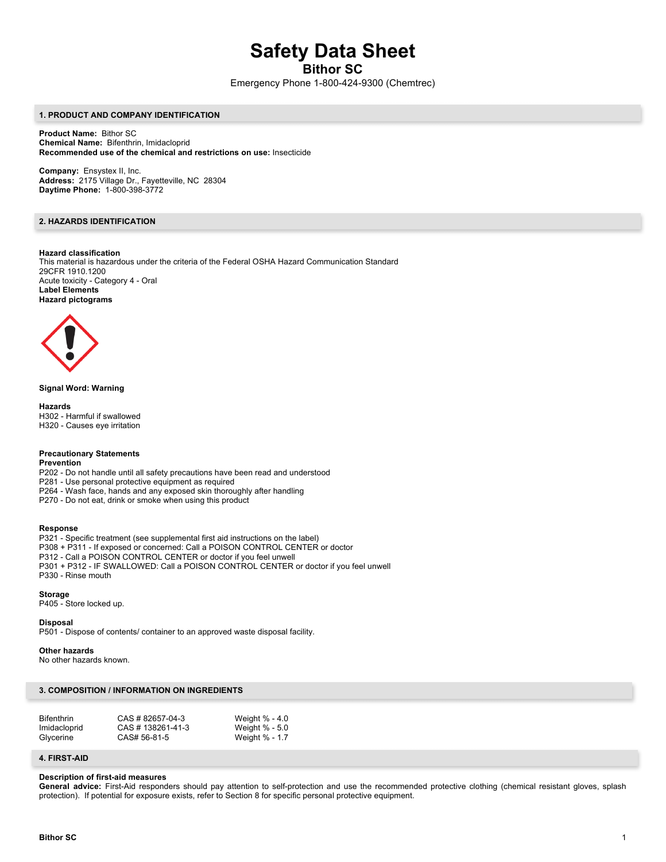# **Safety Data Sheet**

**Bithor SC**

Emergency Phone 1-800-424-9300 (Chemtrec)

## **1. PRODUCT AND COMPANY IDENTIFICATION**

**Product Name:** Bithor SC **Chemical Name:** Bifenthrin, Imidacloprid **Recommended use of the chemical and restrictions on use:** Insecticide

**Company:** Ensystex II, Inc. **Address:** 2175 Village Dr., Fayetteville, NC 28304 **Daytime Phone:** 1-800-398-3772

# **2. HAZARDS IDENTIFICATION**

## **Hazard classification**

This material is hazardous under the criteria of the Federal OSHA Hazard Communication Standard 29CFR 1910.1200 Acute toxicity - Category 4 - Oral **Label Elements Hazard pictograms**



#### **Signal Word: Warning**

**Hazards** H302 - Harmful if swallowed H320 - Causes eye irritation

## **Precautionary Statements**

**Prevention**

P202 - Do not handle until all safety precautions have been read and understood

P281 - Use personal protective equipment as required

- P264 Wash face, hands and any exposed skin thoroughly after handling
- P270 Do not eat, drink or smoke when using this product

### **Response**

P321 - Specific treatment (see supplemental first aid instructions on the label) P308 + P311 - If exposed or concerned: Call a POISON CONTROL CENTER or doctor

P312 - Call a POISON CONTROL CENTER or doctor if you feel unwell

P301 + P312 - IF SWALLOWED: Call a POISON CONTROL CENTER or doctor if you feel unwell

P330 - Rinse mouth

#### **Storage**

P405 - Store locked up.

#### **Disposal**

P501 - Dispose of contents/ container to an approved waste disposal facility.

#### **Other hazards**

No other hazards known.

## **3. COMPOSITION / INFORMATION ON INGREDIENTS**

| <b>Bifenthrin</b> | CAS # 82657-04-3  | Weight % - 4.0 |
|-------------------|-------------------|----------------|
| Imidacloprid      | CAS # 138261-41-3 | Weight % - 5.0 |
| Glycerine         | CAS# 56-81-5      | Weight % - 1.7 |

### **4. FIRST-AID**

#### **Description of first-aid measures**

General advice: First-Aid responders should pay attention to self-protection and use the recommended protective clothing (chemical resistant gloves, splash protection). If potential for exposure exists, refer to Section 8 for specific personal protective equipment.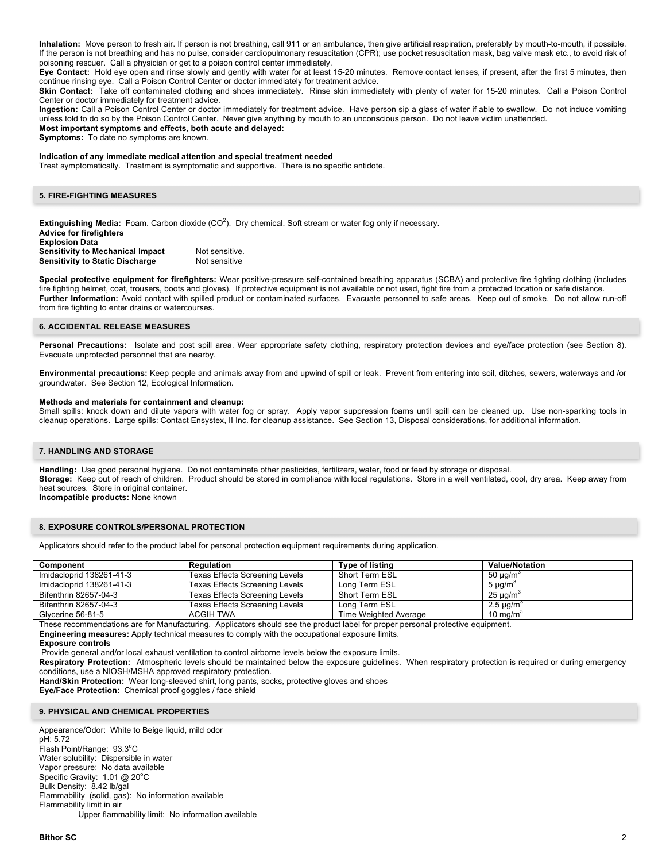**Inhalation:** Move person to fresh air. If person is not breathing, call 911 or an ambulance, then give artificial respiration, preferably by mouth-to-mouth, if possible. If the person is not breathing and has no pulse, consider cardiopulmonary resuscitation (CPR); use pocket resuscitation mask, bag valve mask etc., to avoid risk of poisoning rescuer. Call a physician or get to a poison control center immediately.

**Eye Contact:** Hold eye open and rinse slowly and gently with water for at least 15-20 minutes. Remove contact lenses, if present, after the first 5 minutes, then continue rinsing eye. Call a Poison Control Center or doctor immediately for treatment advice.

Skin Contact: Take off contaminated clothing and shoes immediately. Rinse skin immediately with plenty of water for 15-20 minutes. Call a Poison Control Center or doctor immediately for treatment advice.

**Ingestion:** Call a Poison Control Center or doctor immediately for treatment advice. Have person sip a glass of water if able to swallow. Do not induce vomiting unless told to do so by the Poison Control Center. Never give anything by mouth to an unconscious person. Do not leave victim unattended. **Most important symptoms and effects, both acute and delayed:**

**Symptoms:** To date no symptoms are known.

## **Indication of any immediate medical attention and special treatment needed**

Treat symptomatically. Treatment is symptomatic and supportive. There is no specific antidote.

## **5. FIRE-FIGHTING MEASURES**

Extinguishing Media: Foam. Carbon dioxide (CO<sup>2</sup>). Dry chemical. Soft stream or water fog only if necessary. **Advice for firefighters Explosion Data Sensitivity to Mechanical Impact Not sensitive. Sensitivity to Static Discharge Mot sensitive** 

**Special protective equipment for firefighters:** Wear positive-pressure self-contained breathing apparatus (SCBA) and protective fire fighting clothing (includes fire fighting helmet, coat, trousers, boots and gloves). If protective equipment is not available or not used, fight fire from a protected location or safe distance. Further Information: Avoid contact with spilled product or contaminated surfaces. Evacuate personnel to safe areas. Keep out of smoke. Do not allow run-off from fire fighting to enter drains or watercourses.

#### **6. ACCIDENTAL RELEASE MEASURES**

Personal Precautions: Isolate and post spill area. Wear appropriate safety clothing, respiratory protection devices and eye/face protection (see Section 8). Evacuate unprotected personnel that are nearby.

**Environmental precautions:** Keep people and animals away from and upwind of spill or leak. Prevent from entering into soil, ditches, sewers, waterways and /or groundwater. See Section 12, Ecological Information.

#### **Methods and materials for containment and cleanup:**

Small spills: knock down and dilute vapors with water fog or spray. Apply vapor suppression foams until spill can be cleaned up. Use non-sparking tools in cleanup operations. Large spills: Contact Ensystex, II Inc. for cleanup assistance. See Section 13, Disposal considerations, for additional information.

#### **7. HANDLING AND STORAGE**

**Handling:** Use good personal hygiene. Do not contaminate other pesticides, fertilizers, water, food or feed by storage or disposal. **Storage:** Keep out of reach of children. Product should be stored in compliance with local regulations. Store in a well ventilated, cool, dry area. Keep away from heat sources. Store in original container. **Incompatible products:** None known

#### **8. EXPOSURE CONTROLS/PERSONAL PROTECTION**

Applicators should refer to the product label for personal protection equipment requirements during application.

| Component                | Regulation                            | <b>Type of listing</b> | <b>Value/Notation</b>     |
|--------------------------|---------------------------------------|------------------------|---------------------------|
| Imidacloprid 138261-41-3 | Texas Effects Screening Levels        | Short Term ESL         | 50 $\mu$ g/m <sup>3</sup> |
| Imidacloprid 138261-41-3 | <b>Texas Effects Screening Levels</b> | Long Term ESL          | 5 $\mu$ g/m <sup>3</sup>  |
| Bifenthrin 82657-04-3    | Texas Effects Screening Levels        | Short Term ESL         | $25 \mu g/m3$             |
| Bifenthrin 82657-04-3    | <b>Texas Effects Screening Levels</b> | Long Term ESL          | $2.5 \mu q/m3$            |
| Glycerine 56-81-5        | ACGIH TWA                             | Time Weighted Average  | 10 mg/m <sup>3</sup>      |

These recommendations are for Manufacturing. Applicators should see the product label for proper personal protective equipment.

**Engineering measures:** Apply technical measures to comply with the occupational exposure limits.

**Exposure controls**

Provide general and/or local exhaust ventilation to control airborne levels below the exposure limits.

**Respiratory Protection:** Atmospheric levels should be maintained below the exposure guidelines. When respiratory protection is required or during emergency conditions, use a NIOSH/MSHA approved respiratory protection.

**Hand/Skin Protection:** Wear long-sleeved shirt, long pants, socks, protective gloves and shoes

**Eye/Face Protection:** Chemical proof goggles / face shield

#### **9. PHYSICAL AND CHEMICAL PROPERTIES**

Appearance/Odor: White to Beige liquid, mild odor pH: 5.72 .<br>Flash Point/Range: 93.3°C Water solubility: Dispersible in water Vapor pressure: No data available Specific Gravity: 1.01 @ 20°C Bulk Density: 8.42 lb/gal Flammability (solid, gas): No information available Flammability limit in air Upper flammability limit: No information available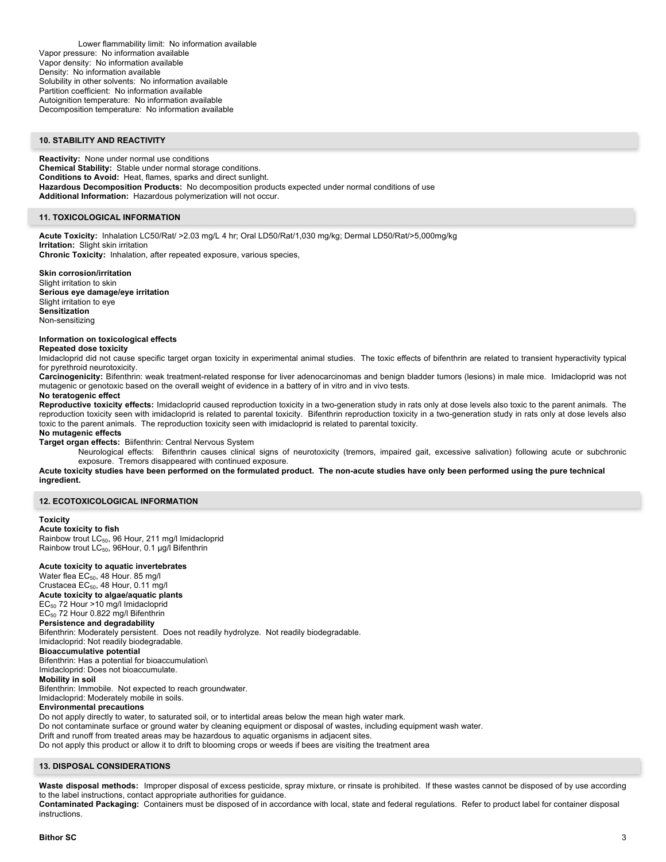Lower flammability limit: No information available Vapor pressure: No information available Vapor density: No information available Density: No information available Solubility in other solvents: No information available Partition coefficient: No information available Autoignition temperature: No information available Decomposition temperature: No information available

## **10. STABILITY AND REACTIVITY**

**Reactivity:** None under normal use conditions **Chemical Stability:** Stable under normal storage conditions. **Conditions to Avoid:** Heat, flames, sparks and direct sunlight. **Hazardous Decomposition Products:** No decomposition products expected under normal conditions of use **Additional Information:** Hazardous polymerization will not occur.

# **11. TOXICOLOGICAL INFORMATION**

**Acute Toxicity:** Inhalation LC50/Rat/ >2.03 mg/L 4 hr; Oral LD50/Rat/1,030 mg/kg; Dermal LD50/Rat/>5,000mg/kg **Irritation:** Slight skin irritation **Chronic Toxicity:** Inhalation, after repeated exposure, various species,

**Skin corrosion/irritation** Slight irritation to skin **Serious eye damage/eye irritation** Slight irritation to eye **Sensitization** Non-sensitizing

#### **Information on toxicological effects**

**Repeated dose toxicity**

Imidacloprid did not cause specific target organ toxicity in experimental animal studies. The toxic effects of bifenthrin are related to transient hyperactivity typical for pyrethroid neurotoxicity.

**Carcinogenicity:** Bifenthrin: weak treatment-related response for liver adenocarcinomas and benign bladder tumors (lesions) in male mice. Imidacloprid was not mutagenic or genotoxic based on the overall weight of evidence in a battery of in vitro and in vivo tests.

#### **No teratogenic effect**

**Reproductive toxicity effects:** Imidacloprid caused reproduction toxicity in a two-generation study in rats only at dose levels also toxic to the parent animals. The reproduction toxicity seen with imidacloprid is related to parental toxicity. Bifenthrin reproduction toxicity in a two-generation study in rats only at dose levels also toxic to the parent animals. The reproduction toxicity seen with imidacloprid is related to parental toxicity.

## **No mutagenic effects**

**Target organ effects:** Biifenthrin: Central Nervous System

Neurological effects: Bifenthrin causes clinical signs of neurotoxicity (tremors, impaired gait, excessive salivation) following acute or subchronic exposure. Tremors disappeared with continued exposure.

**Acute toxicity studies have been performed on the formulated product. The non-acute studies have only been performed using the pure technical ingredient.**

## **12. ECOTOXICOLOGICAL INFORMATION**

# **Toxicity**

**Acute toxicity to fish** Rainbow trout LC<sub>50</sub>, 96 Hour, 211 mg/l Imidacloprid Rainbow trout LC<sub>50</sub>, 96Hour, 0.1 µg/l Bifenthrin

## **Acute toxicity to aquatic invertebrates**

Water flea EC<sub>50</sub>, 48 Hour. 85 mg/l Crustacea EC<sub>50</sub>, 48 Hour, 0.11 mg/l **Acute toxicity to algae/aquatic plants** EC<sub>50</sub> 72 Hour >10 mg/l Imidacloprid EC<sub>50</sub> 72 Hour 0.822 mg/l Bifenthrin **Persistence and degradability** Bifenthrin: Moderately persistent. Does not readily hydrolyze. Not readily biodegradable. Imidacloprid: Not readily biodegradable. **Bioaccumulative potential** Bifenthrin: Has a potential for bioaccumulation\ Imidacloprid: Does not bioaccumulate. **Mobility in soil** Bifenthrin: Immobile. Not expected to reach groundwater. Imidacloprid: Moderately mobile in soils. **Environmental precautions**

Do not apply directly to water, to saturated soil, or to intertidal areas below the mean high water mark.

Do not contaminate surface or ground water by cleaning equipment or disposal of wastes, including equipment wash water.

Drift and runoff from treated areas may be hazardous to aquatic organisms in adjacent sites.

Do not apply this product or allow it to drift to blooming crops or weeds if bees are visiting the treatment area

## **13. DISPOSAL CONSIDERATIONS**

Waste disposal methods: Improper disposal of excess pesticide, spray mixture, or rinsate is prohibited. If these wastes cannot be disposed of by use according to the label instructions, contact appropriate authorities for guidance.

**Contaminated Packaging:** Containers must be disposed of in accordance with local, state and federal regulations. Refer to product label for container disposal instructions.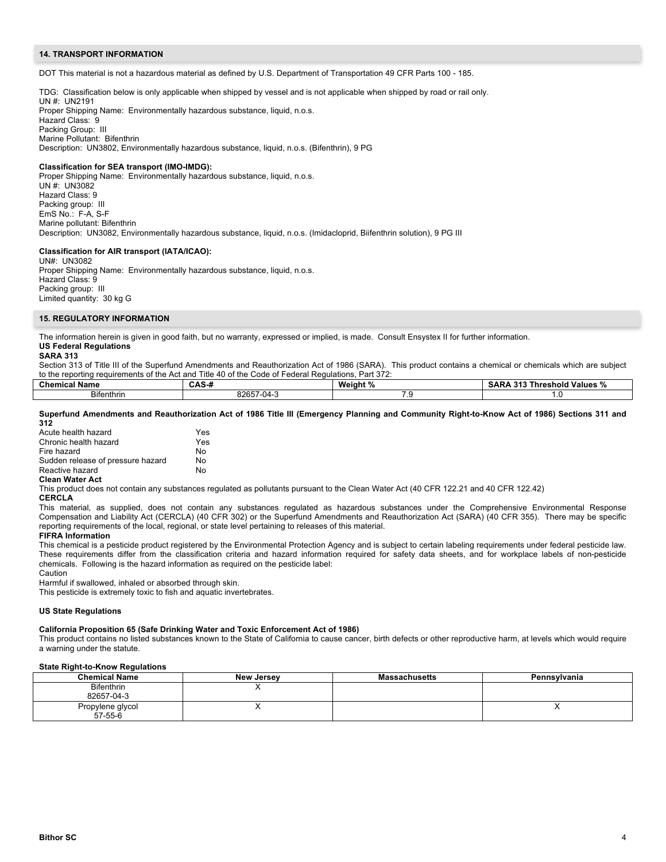## **14. TRANSPORT INFORMATION**

DOT This material is not a hazardous material as defined by U.S. Department of Transportation 49 CFR Parts 100 - 185.

TDG: Classification below is only applicable when shipped by vessel and is not applicable when shipped by road or rail only.

UN #: UN2191 Proper Shipping Name: Environmentally hazardous substance, liquid, n.o.s. Hazard Class: 9 Packing Group: III Marine Pollutant: Bifenthrin Description: UN3802, Environmentally hazardous substance, liquid, n.o.s. (Bifenthrin), 9 PG

## **Classification for SEA transport (IMO-IMDG):**

Proper Shipping Name: Environmentally hazardous substance, liquid, n.o.s. UN #: UN3082 Hazard Class: 9 Packing group: III EmS No.: F-A, S-F Marine pollutant: Bifenthrin Description: UN3082, Environmentally hazardous substance, liquid, n.o.s. (Imidacloprid, Biifenthrin solution), 9 PG III

## **Classification for AIR transport (IATA/ICAO):**

UN#: UN3082 Proper Shipping Name: Environmentally hazardous substance, liquid, n.o.s. Hazard Class: 9 Packing group: III Limited quantity: 30 kg G

## **15. REGULATORY INFORMATION**

The information herein is given in good faith, but no warranty, expressed or implied, is made. Consult Ensystex II for further information. **US Federal Regulations**

# **SARA 313**

Section 313 of Title III of the Superfund Amendments and Reauthorization Act of 1986 (SARA). This product contains a chemical or chemicals which are subject to the reporting requirements of the Act and Title 40 of the Code of Federal Regulations, Part 372:

| <b>Chemica</b><br>Name | - -<br>^<br><b>UAJ-</b> | Weiaht<br>. ດ.<br>70 | Threshold<br>Values<br>oan<br>-315 |
|------------------------|-------------------------|----------------------|------------------------------------|
| $\sim$<br>Bitenthrin   | 00057<br>∵-04<br>ניטי   | $\sim$               |                                    |

#### **Superfund Amendments and Reauthorization Act of 1986 Title III (Emergency Planning and Community Right-to-Know Act of 1986) Sections 311 and 312**

| Acute health hazard               | Yes |
|-----------------------------------|-----|
| Chronic health hazard             | Yes |
| Fire hazard                       | N٥  |
| Sudden release of pressure hazard | N٥  |
| Reactive hazard                   | N٥  |
|                                   |     |

# **Clean Water Act**

This product does not contain any substances regulated as pollutants pursuant to the Clean Water Act (40 CFR 122.21 and 40 CFR 122.42)

**CERCLA**

This material, as supplied, does not contain any substances regulated as hazardous substances under the Comprehensive Environmental Response Compensation and Liability Act (CERCLA) (40 CFR 302) or the Superfund Amendments and Reauthorization Act (SARA) (40 CFR 355). There may be specific reporting requirements of the local, regional, or state level pertaining to releases of this material.

#### **FIFRA Information**

This chemical is a pesticide product registered by the Environmental Protection Agency and is subject to certain labeling requirements under federal pesticide law. These requirements differ from the classification criteria and hazard information required for safety data sheets, and for workplace labels of non-pesticide chemicals. Following is the hazard information as required on the pesticide label:

Caution

Harmful if swallowed, inhaled or absorbed through skin.

This pesticide is extremely toxic to fish and aquatic invertebrates.

#### **US State Regulations**

# **California Proposition 65 (Safe Drinking Water and Toxic Enforcement Act of 1986)**

This product contains no listed substances known to the State of California to cause cancer, birth defects or other reproductive harm, at levels which would require a warning under the statute.

# **State Right-to-Know Regulations**

| <b>Chemical Name</b>            | <b>New Jersey</b> | <b>Massachusetts</b> | Pennsvlvania |
|---------------------------------|-------------------|----------------------|--------------|
| <b>Bifenthrin</b><br>82657-04-3 | ,,                |                      |              |
| Propylene glycol<br>57-55-6     |                   |                      | <b>11</b>    |